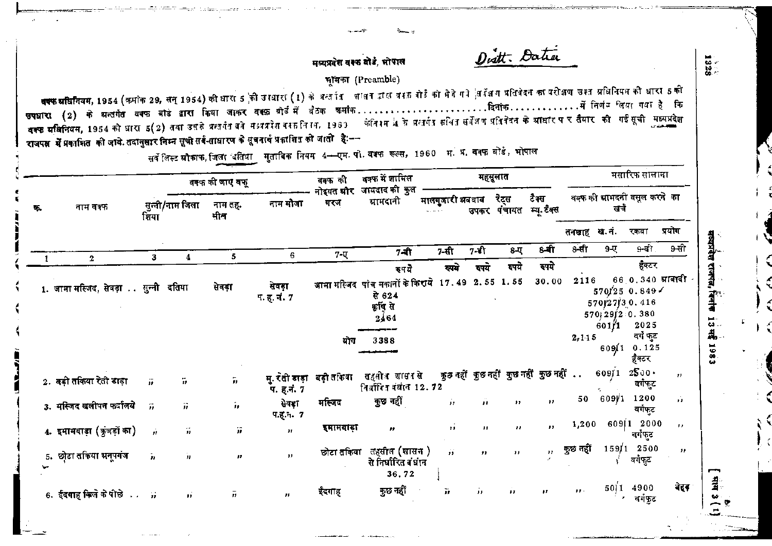Dist. Datia

 $1328$ 

日本

1983

## मध्यप्रदेश वक्क बोडे, भोपाल

## भांमका (Preamble)

वक्फ घर्षिनियम, 1954 (कर्माक 29, सन् 1954) की धारा 5 को उस्बारा (1) के अलाति शालन द्वारा बस्त को मेते गये अपि अतिवेदन का परीक्षण उस्त प्रविनियम की धारा 5 की रक्फ स्थितियम, 1954 को धारा 5(2) तथा उसके प्रत्यपैत बने मध्यप्रदेश वस्तनि । 1969 केनि । मैं प्रतिकार सर्विंग प्रतिवेदन के स्राधार प र तैयार की गई सूची मध्यप्रदेश राजपक्ष में प्रकाशित की जावे. तदानुसार निम्न सूची सर्व-ताधारण के सूचनार्थ प्रकाशित की जाती है:--

सर्वे लिस्ट ग्रौकाफ, जिला दतिया मुताबिक नियम 4-स्प्स. पी. वक्फ रूल्स, 1960 म. प्र. वक्फ बोर्ड, भोपाल

|    |                                     |                        |                     | वक्फ की जाए वफ़ू   |                              | वक्फ की                  | वक्फ में शामिल                                                                   |                                            |              | महसूलात      |                                     |                               |                                                          | मसारिफ सालाना                              |                      |
|----|-------------------------------------|------------------------|---------------------|--------------------|------------------------------|--------------------------|----------------------------------------------------------------------------------|--------------------------------------------|--------------|--------------|-------------------------------------|-------------------------------|----------------------------------------------------------|--------------------------------------------|----------------------|
| ъ. | नाम वक्फ                            | शिया                   | सुन्नी/नाम जिला     | नाम तह.<br>मीन     | नाम मौजा                     | नोइयत सौर<br>गरज         | जायदाद की कुल<br>ग्रामदानी                                                       | मालगुजारी अववाब<br>$\alpha$ , and $\alpha$ |              | रेटस         | टैक्स<br>उपकर पंचायत म्यू.टैक्स     |                               | खर्च                                                     | वक्फ की ग्रामदनी वसूल करने का              |                      |
|    |                                     |                        |                     |                    |                              |                          |                                                                                  |                                            |              |              |                                     | तनखाह ख.नं.                   |                                                          | रकबा                                       | प्रयोग               |
|    | $\mathbf{2}$                        | 3                      | 4                   | 5                  | 6                            | $7 - \nabla$             | $7 - \hat{t}$                                                                    | 7-सी                                       | 7-ईो         | 8-ए          | 8-बी                                | $8 - \pi$                     | $9 - 4$                                                  | 9-बी.                                      | 9-सी                 |
|    |                                     |                        |                     |                    |                              |                          | रुपये                                                                            | रुपये                                      | रुपये        | रुपये        | रुपये                               |                               |                                                          | हुँक्टर                                    |                      |
|    | 1. जामा मस्जिद, सेवड़ा सुन्नी दतिया |                        |                     | सेवड़ा             | सेवड़ा<br><b>प. ह. नं. 7</b> |                          | जामा मस्जिद पांच मकानों के किराये 17.49 2.55 1.55<br>से 624<br>क्रुषि से<br>2464 |                                            |              |              | 30.00                               | 2116                          | 570127130.416<br>$570$ $29$ $29$ $0.380$<br>$601 \mid 1$ | $66$ 0.340 मानावी -<br>570/250.849<br>2025 |                      |
|    |                                     |                        |                     |                    |                              | योग                      | 3388                                                                             |                                            |              |              |                                     | 2, 115                        |                                                          | वर्ग फुट<br>$609(1 \t 0.125$<br>हैक्टर     |                      |
|    | 2. बड़ी तकिया रेती डाड़ा            |                        | ï,                  | $\bar{\bm{\eta}}$  | प. ह.नं. 7                   | मु. रती डाड़ा बड़ी तकिया | तहसोत शासासे<br>निर्वारित वंघान 12.72                                            |                                            |              |              | कुछ नहीं कुछ नहीं कुछ नहीं कुछ नहीं |                               | 60911                                                    | $2500 -$<br>वर्गफुट                        | $\boldsymbol{\cdot}$ |
|    | 3. मस्जिद खलीपन फर्दालये            | $\dddot{H}$            | $\vec{p}$           | $\hat{\textbf{r}}$ | सेवड़ा<br>प.ह.न. 7           | मस्जिद                   | कुछ नहीं                                                                         | Ĥ.                                         | ñ            | $\mathbf{H}$ | $\mathbf{H}$                        | 50                            | 609/1                                                    | 1200<br>वर्गफट                             | ń                    |
|    | 4. इमामबाड़ा (कुंजड़ों का)          | $\hat{\boldsymbol{H}}$ | $\boldsymbol{\eta}$ | ïï.                | $\overline{11}$              | इमामबाड़ा                | $\mathbf{r}$                                                                     | $\overline{\mathbf{u}}$                    | $\mathbf{H}$ | $\mathbf{H}$ | $\mathbf{H}$                        | 1,200                         |                                                          | 609112000<br>वर्गफुट                       | $\mathbf{r}$         |
| 5. | छोटा तकिया भनुपगंज                  | 'n                     | $\boldsymbol{\eta}$ | $\mathbf{r}$       | $\mathbf{H}$                 |                          | छोटा तकिया तहसील (शासन )<br>से निर्धारित बंधान<br>36.72                          | Ĥ                                          | $\bullet$    | $\mathbf{H}$ | $\mathbf{H}$                        | कुछ नहीं                      |                                                          | $159/1$ 2500<br>वर्गफुट                    | $^{\prime\prime}$    |
|    | 6. ईदगाह किले के पीछे               |                        | $\mathbf{H}$        | $\bar{n}$          | $\mathbf{H}$                 | ईदगाह                    | कुछ नहीं                                                                         | ä.                                         | $\mathbf{H}$ | $\bullet$    | $\mathbf{H}$                        | $\mathbf{r}$ , $\mathbf{r}$ . |                                                          | 50 1 4900<br>वर्गफुट                       | बेहर                 |
|    |                                     |                        |                     |                    |                              |                          |                                                                                  |                                            |              |              |                                     |                               |                                                          |                                            |                      |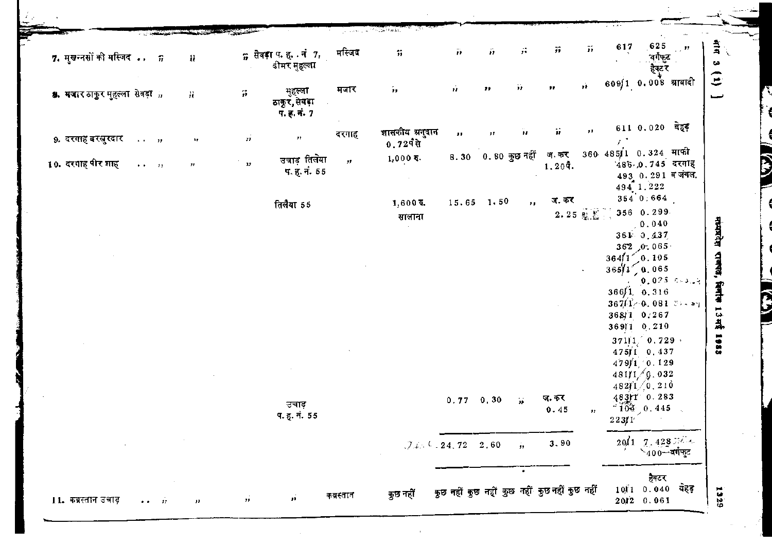|                                | 7. मुखन्तसों की मस्जिद  5                               |                                                                                          | ij,                       |                 | $n$ सेवड़ा प. ह. . नं 7,<br>ढीमर मृहल्ला | मस्जिद        | 77                                     | $\dddot{\boldsymbol{n}}$ | $\mathbf{r}$       | $\mathcal{G}$      | 77                             | $\tilde{\boldsymbol{H}}$ | 617                                                                            | 625<br>वर्गफुट<br>हेक्टर        | $\mathbb{Z}^{\times 40}$                  | 言。                                  |
|--------------------------------|---------------------------------------------------------|------------------------------------------------------------------------------------------|---------------------------|-----------------|------------------------------------------|---------------|----------------------------------------|--------------------------|--------------------|--------------------|--------------------------------|--------------------------|--------------------------------------------------------------------------------|---------------------------------|-------------------------------------------|-------------------------------------|
| 8. मजार ठाकुर मुहल्ला सेवड़ा " |                                                         |                                                                                          | Ĥ.                        | $\widetilde{D}$ | मुहल्ला<br>ठाकुर, सेवड़ा<br>प. ह. नं. 7  | मजार          | 'n.                                    | $\mathbf{r}$             | $^{\prime \prime}$ | ü                  | 99.                            | $\mathbf{r}$             | 609) 1 0.008 म्राबादी                                                          |                                 |                                           | $\hat{c}$<br>نسبته                  |
| 9. दरगाह बरखुरदार              | $\rightarrow$ $\rightarrow$ $\rightarrow$ $\rightarrow$ |                                                                                          | $\mathbf{r}$              | $\vec{H}$       | 72                                       | दरगाह         | शासकीय अनुदान<br>$0.729$ से            | $\mathbf{r}$             | 11                 | Ÿ£                 | ăř.                            | $\mathbf{H}$             | $\mathcal{F}^{\mathcal{F}}$                                                    | $6110.020$ बेहड़                |                                           |                                     |
| 10. दरगाह पीर शाह              |                                                         |                                                                                          | $\mathcal{F} \mathcal{F}$ | 13 <sup>°</sup> | उचाड़ तिलेया<br>प. ह. नं. 55             | $\mathcal{F}$ | $1,000$ ह.<br>$\sim$                   |                          |                    | 8.30 0.80 कुछ नहीं | ज. कर<br>$1.20$ q.             |                          | $360\quad 48511\quad 0.324$ माफी<br>494 1.222                                  | 486 0.745 दरगाह                 | $493$ 0.291 व जंगल.                       |                                     |
|                                |                                                         |                                                                                          |                           |                 | तिलैया 55                                |               | $1,600$ रू.<br>सालाना<br>$\sim$ $\sim$ | 15.65 1.50               |                    | $\mathbf{r}_1$     | ज. कर<br>$2.25$ $\&$ $\&$ $\]$ |                          |                                                                                | 354 0:664<br>356 0.299<br>0.040 |                                           |                                     |
|                                |                                                         |                                                                                          |                           |                 |                                          |               |                                        |                          |                    |                    |                                |                          | $364/1$ 0.105                                                                  | $361 - 0,437$<br>$362$ , 0.065  |                                           |                                     |
|                                |                                                         |                                                                                          |                           |                 |                                          |               |                                        |                          |                    |                    |                                |                          | $365/1$ $\bigcirc$ 0.065<br>366/1, 0, 316<br>$3671/0.081$ $34.91$              |                                 | $10.025 - 5 - 3 = 4$                      | मध्यप्रदेश राजपते, सिनीक 13 मई 1983 |
|                                |                                                         |                                                                                          |                           |                 |                                          |               |                                        |                          |                    |                    |                                |                          | 3681 0.267<br>36911 0.210<br>$3\,7\,1\,1\,1\,1\,0$ , $7\,2\,9\,$ $\rightarrow$ |                                 |                                           |                                     |
|                                |                                                         |                                                                                          |                           |                 |                                          |               |                                        |                          |                    |                    |                                |                          | 475/1 0.437<br>479/1 0.129<br>481/1/9.032<br>482f1/0.210                       |                                 |                                           |                                     |
|                                |                                                         |                                                                                          |                           |                 | उचाड़<br>प. हू. नं. $55\,$               |               |                                        | $0.77 - 0.30$            |                    | $\mathbf{r}_1$     | ज. कर<br>0.45                  | $\pmb{\mathfrak{p}}$     | 483rT 0.283<br>$2\,2\,3$ / $1^\circ$                                           | $104 - 0.445$                   |                                           |                                     |
|                                |                                                         | $\mathcal{L}(\mathcal{L})$ and $\mathcal{L}(\mathcal{L})$ and $\mathcal{L}(\mathcal{L})$ |                           |                 |                                          |               |                                        | $(7.4.4.72 - 2.60)$      |                    | $\hat{H}$          | 3.90                           |                          |                                                                                |                                 | $20/1$ 7, $428$ $\frac{3}{400}$ - वर्गमुट |                                     |

 $\mathbb{R}^{n+1}$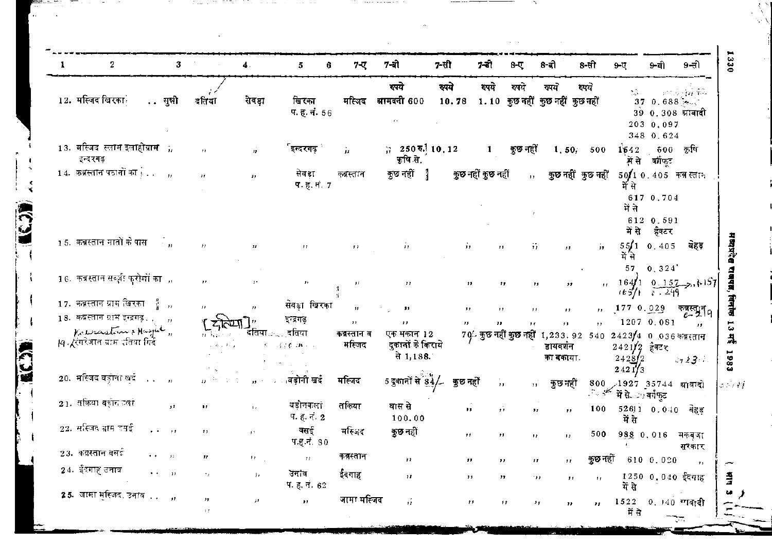| 1 | $\,2$                                                               | $\mathbf{3}$          |                                  | $\mathbf 4$                | 5                            | 7-ए<br>6.             | 7-बो                                        | 7-सी               | 7-डो                     | $8 - \nabla$                      | 8-बो                                                                            | 8-सी                     | $9 - 17$                                       | 9-बी                                                      | 9-सी                                       |
|---|---------------------------------------------------------------------|-----------------------|----------------------------------|----------------------------|------------------------------|-----------------------|---------------------------------------------|--------------------|--------------------------|-----------------------------------|---------------------------------------------------------------------------------|--------------------------|------------------------------------------------|-----------------------------------------------------------|--------------------------------------------|
|   | 12. मस्जिद खिरका                                                    | सुन्नो                | दतिया                            | सेवड़ा                     | खिरका<br>प. ह. नं. 56        | मस्जिद                | रुपये<br>ग्रामदनी 600<br>$\hat{z}$ .        | रुपये              | रुपये                    | रुपये                             | रुपये<br>10.78 1.10 कुछ नहीं कुछ नहीं कुछ नहीं                                  | रुपये                    | $\mathcal{L}_{\mathcal{A}}$ .                  | 37, 0, 688<br>39 0.308 ग्राबादी<br>203 0.097<br>348 0.624 | 计自动开始 氧化                                   |
|   | 13. मस्जिद स्लाम इलाहीग्रा <b>म</b> ा,<br>इन्दरगढ़                  |                       | $\mathbf{H}$                     | $\mathcal{F}_{\mathbf{z}}$ | इन्दरगढ़ं                    | 'n                    | ;; 250 $\overline{6}$ , 10, 12<br>कृषि से.  |                    | $\mathbf{1}$             | কুত নহী                           | 1, 50, 500                                                                      |                          | 1642<br>में से                                 | 600<br>बर्गफट                                             | कृषि                                       |
|   | 14. कब्रस्तान पठानों का $\dots$ ,                                   |                       | IF.                              | $\mathbf{r}$               | सेवड़ा<br>प. ह. नं. 7        | कब्रस्तान             | कुछ नहीं<br>J.                              |                    | <b>कुछ नहीं कुछ</b> नहीं | $11 -$                            | कुछ नहीं कुछ नहीं                                                               |                          | में से                                         | $50/10.405$ कब्र स्तान<br>617 0.704                       |                                            |
|   | 15. कब्रस्तान मातों के पास                                          | $\mathbb{R}_{\geq 0}$ | $\mathcal{L}$                    |                            |                              |                       |                                             |                    |                          |                                   |                                                                                 |                          | में से<br>में से                               | 612 0.591<br>हैक्टर                                       | बेहड़                                      |
|   |                                                                     |                       |                                  |                            | $^{\dagger}$                 | $\pmb{\tau}$          | $\mathbf{r}$                                | , ,                |                          | 55.                               | $, \cdot$                                                                       | 13                       | 55/1<br>में से<br>57                           | 0.405<br>0.324                                            |                                            |
|   | 16. कब्रस्तान सब्ज़ी फुरोशों कार्<br>17. कब्रस्तान ग्राम खिरका      | î.,                   | Ħ                                |                            | $\mathbf{r}$<br>संवड़ा खिरका | $\mathbf{H}$          | 11                                          | ,,                 | $^{\ast}$                | $^{\dagger}$                      | $^{\prime\prime}$                                                               |                          |                                                | $(65)$ $6.299$                                            | $n \neq 164/10.157 \rightarrow h157$       |
|   | 18. कब्रस्तान ग्राम इन्द्रगढ .                                      |                       | J.                               | $\boldsymbol{\mu}$         | इन्द्रगढ़                    | ${\bf 17}$<br>5.5     | ,,<br>$^{\ast}$                             | 11<br>$\mathbf{H}$ | $\cdot$<br>$\mathbf{H}$  | $^{\prime}$                       | $\overline{\phantom{a}}$                                                        | $\mathbf{r}$ ,<br>$, \,$ | 1770.029                                       | 1207 0.081                                                | <sup>कब्रस्त</sup> र्म9<br>$\overline{11}$ |
|   | Katerastin & Magich,<br><i> q . (</i> रंगरेजान प्राप्त दतिया गिर्दे |                       | 77 R.G.                          | दोतयाः∴्                   | ्दतिया<br>第二词字数 群人名          | कब्रस्तान व<br>मस्जिद | एक मकान 12<br>दकानों के किराये<br>से 1,188. |                    |                          |                                   | 70- कुछ नहीं कुछ नहीं 1,233.92 540 2423/4 0 036 कबरतान<br>डायवर्शन<br>का बकाया. |                          | $2421/2$ हैक्टर<br>2428/2<br>242173            |                                                           | $2723 -$                                   |
|   | 20. मस्जिद बड़ोना खुद<br>$\sim 10$                                  | $\overline{B}$        |                                  | 12. T                      | बड़ोनी खर्द                  | मस्जिद                | 5 दुकानों से 84/ कुछ नहीं                   |                    | $\pmb{\cdot}$            |                                   | কুछ नहीं<br>11.                                                                 | سمنجو المراتين           | $800$ /1927 35744 श्रावादो<br>में से ःत्वर्षफट |                                                           |                                            |
|   | 21. तकिया बड़ोनकलां                                                 | $\bullet$             | $\pmb{\mathsf{r}}$               |                            | बडोनकलां<br>प. ह. न. $2$     | तकिया                 | घास से<br>100.00                            | н.                 | Ĥ                        | $\mathbf{y}$                      | $\mathbf{r}$                                                                    | 100                      | में स                                          | $52611$ 0.040 बेहड़                                       |                                            |
|   | 22. सर्रिजद ग्राम दत्तई                                             | $\cdots$              | $\pm 1$                          | $\mathbf{r}$ .             | वसई<br>प.ह.न. ९०             | मस्जिद                | कुछ नहीं                                    | $\bullet$          | $^{\prime}$              | 99.                               | $, \,$                                                                          | 500                      |                                                | 988 0.016                                                 | मकबृजा<br>सरकार                            |
|   | $23.$ कबस्तान बसई                                                   |                       | ,,                               | 11 <sub>1</sub>            | $\boldsymbol{H}$             | कब्रस्तान             | $\boldsymbol{\mathcal{F}}$                  | $\mathbf{r}$       | $\mathbf{H}$             | $^{\prime\prime}$                 | 77                                                                              | कुछ नहीं                 |                                                | 610 0.020                                                 | $\mathbf{1}$                               |
|   | 24. ईंदगाह उनाव                                                     |                       | -19                              | ĴУ.                        | उनाव<br>प. ह. नं. 62         | ईदगाह                 | 18                                          | $\bullet$          | $^{\prime\prime}$        | 99                                | 11                                                                              | $\mathbf{r}$             | में से                                         | 1250 0.040 ईदगाह                                          |                                            |
|   | 25. जामा मुस्जिद, उनाव ,,                                           |                       | ,,<br>$\mathcal{F}(\mathcal{T})$ | 11 <sup>2</sup>            | $\mathbf{r}$ .               | जामा मस्जिद           | эř.                                         |                    | $\mathbf{r}$             | $\mathbf{r}$<br>$^{\prime\prime}$ | 99.                                                                             |                          | में से                                         | $1522 - 0.140$ गावादी                                     |                                            |

LC.X

EC.

 $\bar{z}$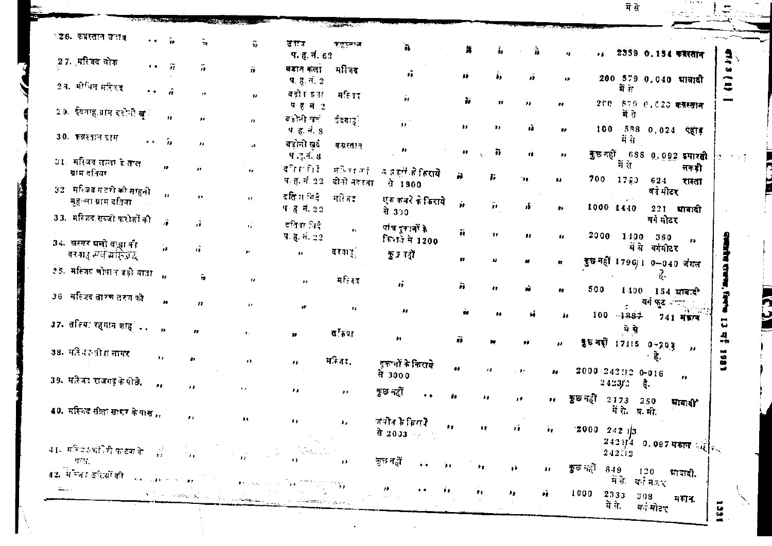में से

 $\pm$  7.

|            |                                                            |                       |                    |                      |                                                                                                                                                                                                                                                                                                                                                                                                                                                       |                                | $\frac{1}{2}$ $\frac{1}{2}$ $\frac{1}{2}$ $\frac{1}{2}$ $\frac{1}{2}$ $\frac{1}{2}$ $\frac{1}{2}$ $\frac{1}{2}$ $\frac{1}{2}$ $\frac{1}{2}$ $\frac{1}{2}$ $\frac{1}{2}$ $\frac{1}{2}$ $\frac{1}{2}$ $\frac{1}{2}$ $\frac{1}{2}$ $\frac{1}{2}$ $\frac{1}{2}$ $\frac{1}{2}$ $\frac{1}{2}$ $\frac{1}{2}$ $\frac{1}{2}$ |                                 |                  |                |         |              |                            |                      |                        |                          |               |
|------------|------------------------------------------------------------|-----------------------|--------------------|----------------------|-------------------------------------------------------------------------------------------------------------------------------------------------------------------------------------------------------------------------------------------------------------------------------------------------------------------------------------------------------------------------------------------------------------------------------------------------------|--------------------------------|---------------------------------------------------------------------------------------------------------------------------------------------------------------------------------------------------------------------------------------------------------------------------------------------------------------------|---------------------------------|------------------|----------------|---------|--------------|----------------------------|----------------------|------------------------|--------------------------|---------------|
|            | ্ঠ৪. কম্বল্লান জনাৰ                                        | $\bullet$ $\bullet$   | Ъ                  | Τę                   | $\frac{m}{2}$                                                                                                                                                                                                                                                                                                                                                                                                                                         | ৱেকক<br>प. ह. नं. 62           | ক্রুনেশ্ব                                                                                                                                                                                                                                                                                                           | n,                              | 舞                | į,             | à       | 桂.           |                            |                      |                        | ., 2359 0.154 क्वरतान    |               |
|            | 27. मस्जिद लोक                                             | $\mathbf{r}$ .        | $\overline{r}$     | 71.                  | ñ                                                                                                                                                                                                                                                                                                                                                                                                                                                     | बड़ान कला<br>प. ह. नं. $2$     | मस्जिद                                                                                                                                                                                                                                                                                                              | ñ                               | 4Ė               | ÷.             | ä       | $\bullet$    |                            |                      |                        | 200 579 0.040 भावादी     |               |
|            | 2.8. मोभिन महिजद                                           | $\bullet$ $\bullet$ . | 弄                  | 79                   | Ħ                                                                                                                                                                                                                                                                                                                                                                                                                                                     | बडो र हुन्।<br>पहल 2           | मस्तिह                                                                                                                                                                                                                                                                                                              | Ĥ.                              | Ъ.               | Ĥ.             | 'n      | ,,           | 200                        | में स                |                        | 870 0,020 कसरतान         |               |
|            | 29. ईदगाह,प्राप्त दहोती <b>ख</b> े                         |                       | ń                  | ,,                   | $\boldsymbol{H}$                                                                                                                                                                                                                                                                                                                                                                                                                                      | व जोनी खता<br>प. ह. नं. ९      | र्ददगाउू ।                                                                                                                                                                                                                                                                                                          | $\mathbf{H}$                    | $\mathbf{H}$     | $\mathbf{r}$   | ià.     | m            | 100                        | में गे               |                        | 588 0.024 पेहाड़         |               |
|            | 30. कब्रस्तान प्राम                                        |                       | $\cdots$ in        | n,                   | a b                                                                                                                                                                                                                                                                                                                                                                                                                                                   | बडोनी खर्द                     | कन्नरतात                                                                                                                                                                                                                                                                                                            | Ĵу.                             | $\pmb{\ast}$     | n,             | Ħ       | $\mathbf{r}$ | <b>कुछ नहीं</b>            |                      |                        |                          |               |
|            | 31. मस्जिदं लाला के ताल<br>ग्राम दतिया                     |                       | $\boldsymbol{\mu}$ | $\bullet$            | 11                                                                                                                                                                                                                                                                                                                                                                                                                                                    | प .इ.नं. ४<br>दी गरी है        | मनिहजते                                                                                                                                                                                                                                                                                                             | न हज़ुलें के किराये             | ä                | Б              | V.      | 99           | 700                        | में से<br>17.3       | 624                    | 688 0.092 इमारही<br>लकडी |               |
|            | 32 मस्जिद गडशे की साहनी<br>मुहल्ला ग्राम दक्षिया           |                       | $\mathbf{r}$       | A9.                  | 32                                                                                                                                                                                                                                                                                                                                                                                                                                                    | प. ह. नं. 22<br>दति मधिदे      | दीको नदरता<br>मस्जित                                                                                                                                                                                                                                                                                                | से 1800<br>एक कनरे के किराये    | ń                |                |         |              |                            |                      | यर्न मीटर              | रास्ता                   |               |
|            | 33. मस्जिद सब्जी फरोजों की                                 |                       | 净                  | ñ                    | $\mathbf{r}_1$                                                                                                                                                                                                                                                                                                                                                                                                                                        | <b>पहनं 22</b><br>दक्षिण निर्द |                                                                                                                                                                                                                                                                                                                     | से 350<br>पांच दूवानों के       |                  | $\hat{\bm{r}}$ | Æ.      | <b>**</b>    | 1000 1440                  |                      | वर्ग मोटर              | 221 माबादी               |               |
|            | 34. अस्पर ग्रली बख्ला की                                   |                       | à.                 | $\pmb{\mathfrak{p}}$ | $\mathbf{F}^{\mathbf{c}}$                                                                                                                                                                                                                                                                                                                                                                                                                             | प. ह. नं. 22<br>$\bullet$      | $\mathbf{r}_I$<br>दरगार्                                                                                                                                                                                                                                                                                            | <b>सिराजे में 1200</b>          | ä                | Ħ              | 88      | ,,           | 2000                       | 1400                 | 360<br>में से बर्गमीटर | ł¥.                      |               |
|            | वरगाह म्या मांसेज्यू<br>१६. मस्जिद बोपाल बड़ी माता         |                       | $\mathbf{h}$       | ÷,                   |                                                                                                                                                                                                                                                                                                                                                                                                                                                       |                                |                                                                                                                                                                                                                                                                                                                     | ক্ট হ বক্ট                      | $\mathbf{r}$     |                |         |              | कुछ नहीं 1796/1 0-040 जंगल |                      |                        |                          |               |
|            | 36 मस्त्रिद तारण तरग की                                    |                       | 88                 |                      | 98.                                                                                                                                                                                                                                                                                                                                                                                                                                                   | 99                             | मस्त्रिद                                                                                                                                                                                                                                                                                                            | ä,                              | ñ                |                | ŵ.      | 11           | 500                        | 1400                 | <b>वर्ग फुट</b> आज्ज्  | 154 माबादी               |               |
|            | 37. तमिया रहमान शाह <i>ं</i> .                             |                       |                    | n                    | $\mathbf{r}$                                                                                                                                                                                                                                                                                                                                                                                                                                          | $\mathbf{r}$                   | $\mathbf{H}$                                                                                                                                                                                                                                                                                                        | $\boldsymbol{\mu}$              | ň                |                |         | Á۵           |                            | $100 - 1887$         |                        | 741 可变有                  | ū             |
|            |                                                            |                       | $\overline{B}$     | 72                   |                                                                                                                                                                                                                                                                                                                                                                                                                                                       | $\mathbf{r}$                   | $\sigma$ and                                                                                                                                                                                                                                                                                                        | $\mathbf{H}$                    | ã                |                |         |              | 56 नहीं 17115 0-203        | भे से                |                        | $\mathbf{H}$             | 츾             |
|            | 38. महिन्द-वीता सागर                                       |                       | ,,                 |                      | $\bullet$                                                                                                                                                                                                                                                                                                                                                                                                                                             | ,,                             | मन्जिद,                                                                                                                                                                                                                                                                                                             | दकानों के किराये<br>से 3000     | $\bullet\bullet$ | 13             | $-31$   | ,,           | 2000 242112 0-016          |                      |                        |                          | L 8 6         |
|            | 39. मत्त्रित राजगढ़ के पीछे.                               |                       | $\mathbf{r}$       | 99.                  | ×.                                                                                                                                                                                                                                                                                                                                                                                                                                                    | ,,                             | $\boldsymbol{\mu}$                                                                                                                                                                                                                                                                                                  | ক্ত নৱী<br>$\ddot{\bullet}$     | "                | .,             | 78      | 11.          | 2423/2<br>ক্কুচ নত্ৰী      |                      | हे.                    | 17                       |               |
|            | 40. मस्जिद सीता सागर के पास ,,                             |                       |                    | $\bullet$            | $\bullet$                                                                                                                                                                                                                                                                                                                                                                                                                                             | ,,                             | ٠.                                                                                                                                                                                                                                                                                                                  | जपीत है बिस रे                  |                  |                |         |              |                            | 2173<br>में से व.मी. | 250                    | माबाद्य                  |               |
|            |                                                            |                       |                    |                      |                                                                                                                                                                                                                                                                                                                                                                                                                                                       |                                |                                                                                                                                                                                                                                                                                                                     | से 2003 के बार                  | Þ.               | Ħ.             | n       | 99.          | $2000 - 242$ $13$          |                      |                        |                          |               |
|            | $41$ - मन्त्रिक भांतिरी फाटक के लिए लिए हैं।<br>ारक        |                       |                    |                      |                                                                                                                                                                                                                                                                                                                                                                                                                                                       |                                |                                                                                                                                                                                                                                                                                                                     | कुछ नहीं<br>$\bullet$ $\bullet$ | ЪF.              | $\mathbf{A}$   | $\pm 1$ | $\mathbf{H}$ | कुछ नहीं 849 120 मात्रादी. | $242 - 2$            |                        |                          |               |
| Gertaera ( | 42. में प्लिट अस्त्रों की <sub>हाल का</sub> र्यालय कर गया। |                       |                    |                      | $\hat{\mathcal{L}}$ .<br><br><br>For example, $\hat{\mathcal{L}}$                                                                                                                                                                                                                                                                                                                                                                                     | <b>TANK OF THE SALE</b>        |                                                                                                                                                                                                                                                                                                                     | 78<br>$\bullet$ $\bullet$       | $\mathbf{r}$     | ŧŧ.            | зy.     | ήF,          | $1000$ 2333 308            | में के वर्तमंत्र र   |                        |                          |               |
|            |                                                            |                       |                    |                      | $\label{eq:Ricci} \mathcal{N}^{(n)}(\mathcal{H}) \cong \mathcal{N}^{(n)} \otimes \mathcal{M}^{(n)}_{\mathcal{H}} \otimes \mathcal{N}^{(n)}_{\mathcal{H}} \otimes \mathcal{N}^{(n)}_{\mathcal{H}} \otimes \mathcal{N}^{(n)}_{\mathcal{H}} \otimes \mathcal{M}^{(n)}_{\mathcal{H}} \otimes \mathcal{M}^{(n)}_{\mathcal{H}} \otimes \mathcal{M}^{(n)}_{\mathcal{H}} \otimes \mathcal{M}^{(n)}_{\mathcal{H}} \otimes \mathcal{M}^{(n)}_{\mathcal{H}} \ot$ | <b>Hollard Charles Control</b> |                                                                                                                                                                                                                                                                                                                     |                                 |                  |                |         |              |                            | में ने. वर्गमोटर     |                        | मश्रीन.                  | $\frac{1}{2}$ |

**RAMAREA CARD DE PRO** 

**CONSTRUCTION** 

وكون ال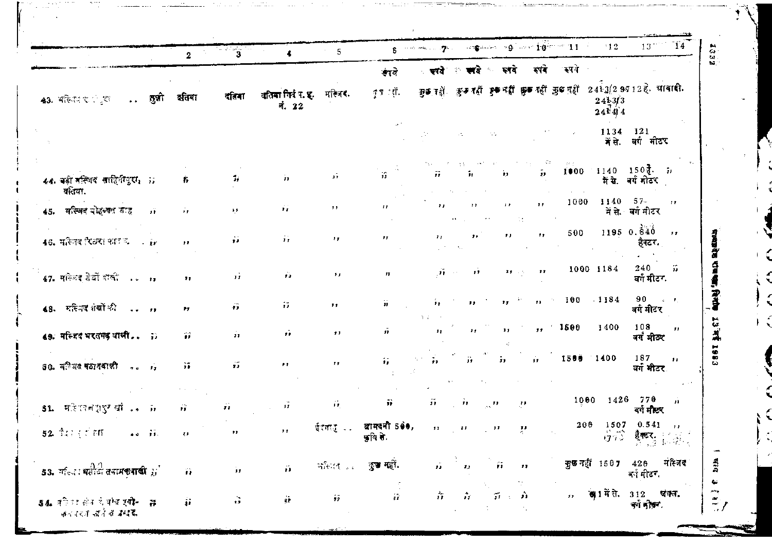|                                                                 |        | 2                  | - 1950)<br>S            | $\ddot{\bullet}$            | 5                           |                           |                                                                                     |                         |                                                                      |                               | $\mathbf{s}$ , where the state of $\mathbf{s}$ and $\mathbf{s}$ and $\mathbf{s}$ and $\mathbf{t}$ and $\mathbf{s}$ and $\mathbf{t}$ and $\mathbf{t}$ | $^{\circ}12$                                      | $13^{\,\mathrm{mpc}}$<br>14                                       |
|-----------------------------------------------------------------|--------|--------------------|-------------------------|-----------------------------|-----------------------------|---------------------------|-------------------------------------------------------------------------------------|-------------------------|----------------------------------------------------------------------|-------------------------------|------------------------------------------------------------------------------------------------------------------------------------------------------|---------------------------------------------------|-------------------------------------------------------------------|
|                                                                 |        |                    |                         |                             |                             | रावे                      | ्रस्वते ।                                                                           |                         | ा अपने स्वये                                                         | इपदे                          | स्पये                                                                                                                                                |                                                   |                                                                   |
| $43.$ সক্ষিত ত $\sqrt{3}$<br>$\sim 10^{-11}$                    | तुन्नो | दतिया              | दतिगा                   | वतिमा गिर्द र. इ.<br>नं. 22 | मस्जि <b>र</b> .            | तृष्ठ : शे.               |                                                                                     |                         |                                                                      |                               |                                                                                                                                                      | $\frac{24}{24}$<br>$\frac{1}{4}$<br>$\frac{1}{4}$ | जुकाओं कुरु रहीं हुका ही कुला ही कुछ नहीं 2413/29712 है. या बादी. |
|                                                                 |        |                    |                         |                             |                             |                           |                                                                                     | $\sim 10$               | 55                                                                   |                               |                                                                                                                                                      | 1134                                              | 121<br>में से. वर्ग मीटर                                          |
| 44. वहीं मल्जिब साहितीपुरा, 77<br>वतिया.                        |        | 1,                 | т,                      | Ĵт.                         | зĩ,                         |                           | 77.                                                                                 | īт.                     | ÌЛ.                                                                  | H.                            |                                                                                                                                                      |                                                   | $1000 - 1140 - 150t$ , h<br>मैं से. वर्ग मोटर                     |
| 45. मस्जिद बोहुआत जातू                                          | πï     | o p                | $\mathbf{1},\mathbf{5}$ | У.                          | 5.5                         | $\bullet$                 | $\mathbf{H}$                                                                        | $\cdots$                | $\mathbf{r}$                                                         | 11 <sup>1</sup><br>$\sim 1.8$ | 1000                                                                                                                                                 | $1140 - 57$                                       | 11<br>में से. वर्गमीटर                                            |
| 46. महिनद रिखरा कार व ir                                        |        | $\cdots$           | ýý.                     | $\hat{\boldsymbol{r}}$ ,    | 15 <sub>1</sub>             | $^{\prime}$               | $\mathbf{r}$                                                                        | $, \,$<br>$\Delta \phi$ | $\mathbf{r}$                                                         | $\mathbf{r}$                  | 500                                                                                                                                                  |                                                   | 1195 0.840<br>$\rightarrow$<br>हॅक्टर.                            |
| 47. मल्जिद ग्रेखों साली                                         |        | ,,                 | эž.                     | $\mathcal{L}_{\mathcal{A}}$ | 7 F                         | $\mathbf{r}$              |                                                                                     | $20 - 10$<br>$-17$      |                                                                      | $\mathbf{r}$<br><b>まま</b> しい  |                                                                                                                                                      | 1000 1184                                         | 55<br>240<br>वर्ग मीटर.                                           |
| 48. मस्जिद शेखों की                                             |        | PJ.                | $\mathbf{r}$            | Ŧ.                          | 79                          | ä                         | ä.                                                                                  | ,,                      | 15 <sub>1</sub>                                                      |                               | 100<br>$\mathbf{m}^{(1,2)}$ .                                                                                                                        | 1184                                              | 90<br>$\mathcal{L} = \mathcal{L}$<br>वर्ष मीटर                    |
| 49. मस्जिदं भरतमब याजी ::                                       |        | 谷                  | $\mathbf{r}$            | $\hat{\mathbf{r}}$          | , 1                         | ň                         | 0.7<br>1.5                                                                          | ,,                      | 33                                                                   | 5.5                           | $-1500$                                                                                                                                              | 1400                                              | 108<br>$\mathbf{r}$<br>वगं मीठर                                   |
| $30.$ म <sup>े</sup> उसे पठानबाली                               |        | άř                 | $\mathbf{r}$            | $\bullet$                   | $\mathbf{r}$                | 蒜                         |                                                                                     | ïΣ.                     | Ĵэ.                                                                  | A.                            |                                                                                                                                                      | 1500 1400                                         | 187<br>$\overline{\mathbf{H}}$<br>वर्ग मीटर⊥                      |
| 51. महिलानशुदुरे थीं                                            |        | Ĥ.                 | 5.5                     | χÿ                          | $\mathcal{L}_{\mathcal{I}}$ | Τì.                       | ĴΫ.                                                                                 | ा के                    | $\mathbb{Z}_{2N}^{\bullet}$ $\Omega$ .                               | $\mathcal{M}$                 |                                                                                                                                                      | 1000                                              | 1426 770<br>-ii<br>वर्ग मोटर                                      |
| 52. TEL ET THE<br>$\bullet \bullet = \widetilde{\mathfrak{so}}$ |        | $\bar{\epsilon}$ . | $\mathbf{r}$            | $\mathbf{F}$                | ईरकातु                      | द्यामदनी 5≬♦,<br>कृषि ते. | $\mathcal{F}(\mathbf{r}) = \mathcal{F}(\mathbf{r})$ . Let $\mathcal{F}(\mathbf{r})$ |                         | $\sim 12$                                                            | ्रम                           |                                                                                                                                                      | 200 1507 0.541<br>$\hat{g}\hat{\psi}$             | $\mathbf{H}$<br><b>हैक्टर</b> हैं कि इ                            |
| 53. मॉल्जा बसीटी तबामकबाकी $\vec{y}$                            |        | $\hat{\mathbf{r}}$ | Îл.                     | ă.                          |                             | अस्तित  कुच्च महीं.       | χĵ.                                                                                 | ्री<br>जन्म             | े सि                                                                 | $\sim$ 11                     |                                                                                                                                                      | कुछ नहीं 1507 428                                 | मस्जिद<br>बर्न मीटर,                                              |
| 54. वरिष्ठ सेन ये पोच एवी- - इं<br>का राजा चर्ने में उपदि       |        | $\mathbf{H}$       | $\mathbf{r}$            | ÿþ                          | $\hat{\pmb{x}}$             |                           | $\frac{1}{12}$                                                                      |                         | $\hat{\boldsymbol{n}} = \hat{\boldsymbol{n}} + \hat{\boldsymbol{n}}$ |                               |                                                                                                                                                      |                                                   | 77 ख़ा में से. 312 खंगल.<br>चर्ग मौकर.                            |

**SECOND PROPERTY OF STATISTICS** 

का ल

<del>in Afri</del>kaanskuu

. Isabel meter te us u

 $\mathcal{N}_{\text{max}}$  and  $\mathcal{N}_{\text{max}}$ 

 $\sim 1.1\, \mathrm{m}^{-1}$  .

 $\sim$   $\sim$ 

**Table** 

 $\sim 10^{11}$  M  $_\odot$ 

(50)